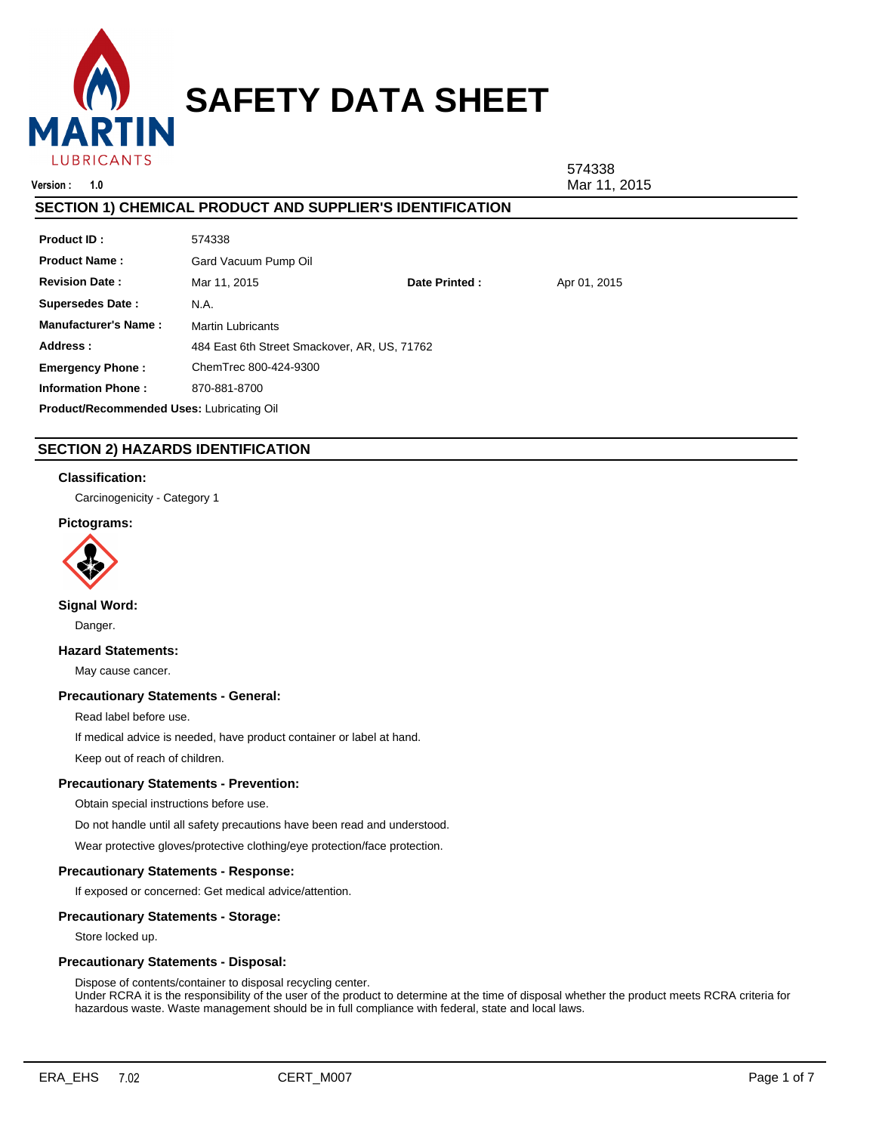

**Version : 1.0** Mar 11, 2015

574338

#### Mar 11, 2015 Martin Lubricants **Product ID :** 484 East 6th Street Smackover, AR, US, 71762 **Product Name :** Gard Vacuum Pump Oil **Manufacturer's Name : Revision Date : Address : SECTION 1) CHEMICAL PRODUCT AND SUPPLIER'S IDENTIFICATION** 574338 **Supersedes Date :** N.A. **Date Printed :** Apr 01, 2015 **Emergency Phone : Information Phone :** ChemTrec 800-424-9300 870-881-8700 **Product/Recommended Uses:** Lubricating Oil

# **SECTION 2) HAZARDS IDENTIFICATION**

## **Classification:**

Carcinogenicity - Category 1

## **Pictograms:**



# **Signal Word:**

Danger.

## **Hazard Statements:**

May cause cancer.

## **Precautionary Statements - General:**

Read label before use.

If medical advice is needed, have product container or label at hand.

Keep out of reach of children.

## **Precautionary Statements - Prevention:**

Obtain special instructions before use.

Do not handle until all safety precautions have been read and understood.

Wear protective gloves/protective clothing/eye protection/face protection.

## **Precautionary Statements - Response:**

If exposed or concerned: Get medical advice/attention.

## **Precautionary Statements - Storage:**

Store locked up.

## **Precautionary Statements - Disposal:**

Dispose of contents/container to disposal recycling center. Under RCRA it is the responsibility of the user of the product to determine at the time of disposal whether the product meets RCRA criteria for hazardous waste. Waste management should be in full compliance with federal, state and local laws.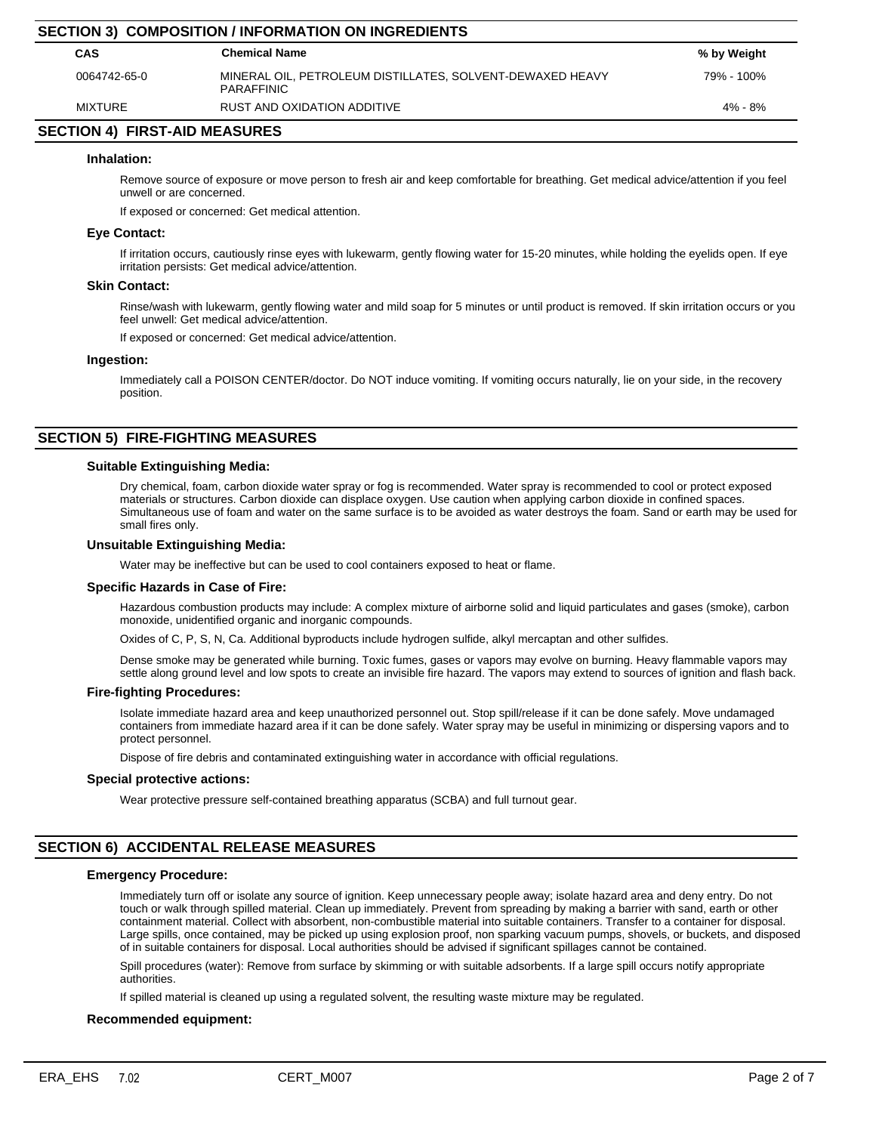| <b>SECTION 3) COMPOSITION / INFORMATION ON INGREDIENTS</b> |                                                                                |             |  |  |  |
|------------------------------------------------------------|--------------------------------------------------------------------------------|-------------|--|--|--|
| <b>CAS</b>                                                 | <b>Chemical Name</b>                                                           | % by Weight |  |  |  |
| 0064742-65-0                                               | MINERAL OIL, PETROLEUM DISTILLATES, SOLVENT-DEWAXED HEAVY<br><b>PARAFFINIC</b> | 79% - 100%  |  |  |  |
| MIXTURE                                                    | RUST AND OXIDATION ADDITIVE                                                    | $4\% - 8\%$ |  |  |  |
|                                                            |                                                                                |             |  |  |  |

## **SECTION 4) FIRST-AID MEASURES**

#### **Inhalation:**

Remove source of exposure or move person to fresh air and keep comfortable for breathing. Get medical advice/attention if you feel unwell or are concerned.

If exposed or concerned: Get medical attention.

#### **Eye Contact:**

If irritation occurs, cautiously rinse eyes with lukewarm, gently flowing water for 15-20 minutes, while holding the eyelids open. If eye irritation persists: Get medical advice/attention.

#### **Skin Contact:**

Rinse/wash with lukewarm, gently flowing water and mild soap for 5 minutes or until product is removed. If skin irritation occurs or you feel unwell: Get medical advice/attention.

If exposed or concerned: Get medical advice/attention.

#### **Ingestion:**

Immediately call a POISON CENTER/doctor. Do NOT induce vomiting. If vomiting occurs naturally, lie on your side, in the recovery position.

# **SECTION 5) FIRE-FIGHTING MEASURES**

#### **Suitable Extinguishing Media:**

Dry chemical, foam, carbon dioxide water spray or fog is recommended. Water spray is recommended to cool or protect exposed materials or structures. Carbon dioxide can displace oxygen. Use caution when applying carbon dioxide in confined spaces. Simultaneous use of foam and water on the same surface is to be avoided as water destroys the foam. Sand or earth may be used for small fires only.

#### **Unsuitable Extinguishing Media:**

Water may be ineffective but can be used to cool containers exposed to heat or flame.

#### **Specific Hazards in Case of Fire:**

Hazardous combustion products may include: A complex mixture of airborne solid and liquid particulates and gases (smoke), carbon monoxide, unidentified organic and inorganic compounds.

Oxides of C, P, S, N, Ca. Additional byproducts include hydrogen sulfide, alkyl mercaptan and other sulfides.

Dense smoke may be generated while burning. Toxic fumes, gases or vapors may evolve on burning. Heavy flammable vapors may settle along ground level and low spots to create an invisible fire hazard. The vapors may extend to sources of ignition and flash back.

#### **Fire-fighting Procedures:**

Isolate immediate hazard area and keep unauthorized personnel out. Stop spill/release if it can be done safely. Move undamaged containers from immediate hazard area if it can be done safely. Water spray may be useful in minimizing or dispersing vapors and to protect personnel.

Dispose of fire debris and contaminated extinguishing water in accordance with official regulations.

#### **Special protective actions:**

Wear protective pressure self-contained breathing apparatus (SCBA) and full turnout gear.

# **SECTION 6) ACCIDENTAL RELEASE MEASURES**

#### **Emergency Procedure:**

Immediately turn off or isolate any source of ignition. Keep unnecessary people away; isolate hazard area and deny entry. Do not touch or walk through spilled material. Clean up immediately. Prevent from spreading by making a barrier with sand, earth or other containment material. Collect with absorbent, non-combustible material into suitable containers. Transfer to a container for disposal. Large spills, once contained, may be picked up using explosion proof, non sparking vacuum pumps, shovels, or buckets, and disposed of in suitable containers for disposal. Local authorities should be advised if significant spillages cannot be contained.

Spill procedures (water): Remove from surface by skimming or with suitable adsorbents. If a large spill occurs notify appropriate authorities.

If spilled material is cleaned up using a regulated solvent, the resulting waste mixture may be regulated.

## **Recommended equipment:**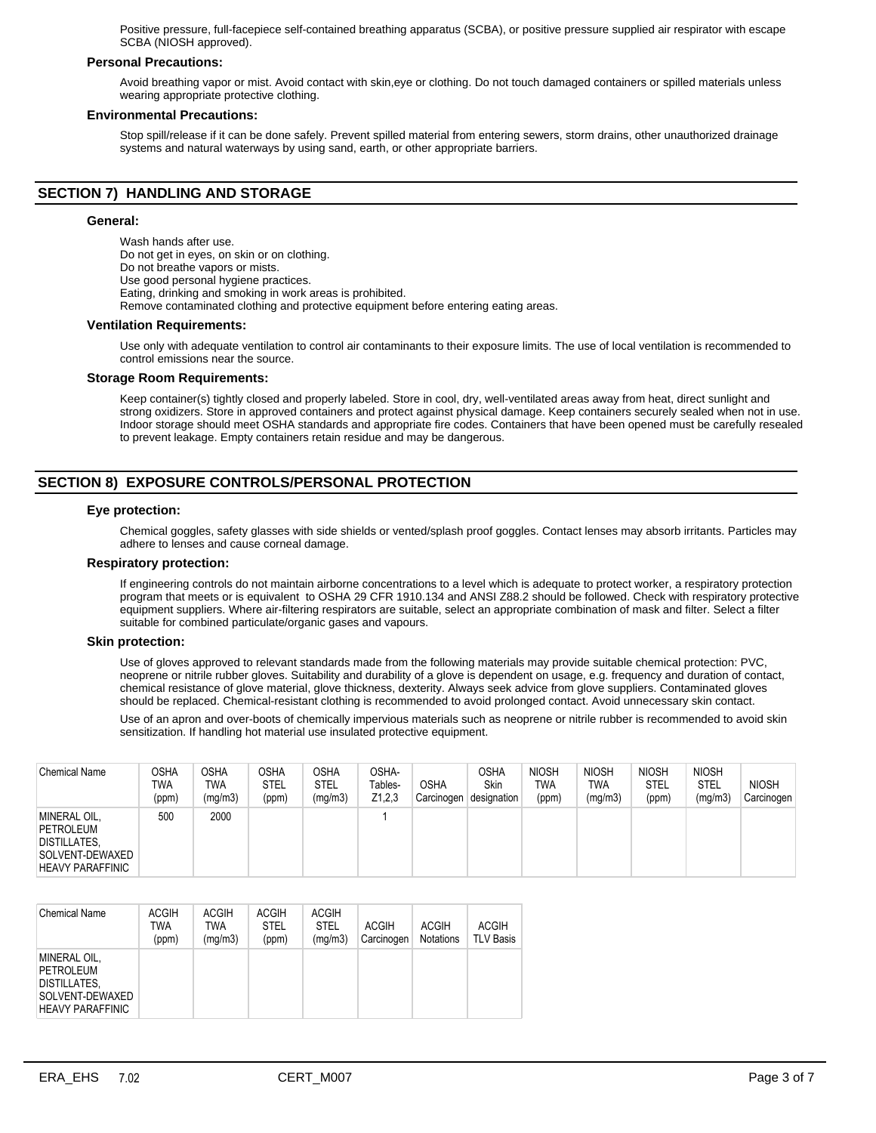Positive pressure, full-facepiece self-contained breathing apparatus (SCBA), or positive pressure supplied air respirator with escape SCBA (NIOSH approved).

## **Personal Precautions:**

Avoid breathing vapor or mist. Avoid contact with skin,eye or clothing. Do not touch damaged containers or spilled materials unless wearing appropriate protective clothing.

#### **Environmental Precautions:**

Stop spill/release if it can be done safely. Prevent spilled material from entering sewers, storm drains, other unauthorized drainage systems and natural waterways by using sand, earth, or other appropriate barriers.

# **SECTION 7) HANDLING AND STORAGE**

#### **General:**

Wash hands after use. Do not get in eyes, on skin or on clothing. Do not breathe vapors or mists. Use good personal hygiene practices. Eating, drinking and smoking in work areas is prohibited. Remove contaminated clothing and protective equipment before entering eating areas.

#### **Ventilation Requirements:**

Use only with adequate ventilation to control air contaminants to their exposure limits. The use of local ventilation is recommended to control emissions near the source.

#### **Storage Room Requirements:**

Keep container(s) tightly closed and properly labeled. Store in cool, dry, well-ventilated areas away from heat, direct sunlight and strong oxidizers. Store in approved containers and protect against physical damage. Keep containers securely sealed when not in use. Indoor storage should meet OSHA standards and appropriate fire codes. Containers that have been opened must be carefully resealed to prevent leakage. Empty containers retain residue and may be dangerous.

# **SECTION 8) EXPOSURE CONTROLS/PERSONAL PROTECTION**

#### **Eye protection:**

Chemical goggles, safety glasses with side shields or vented/splash proof goggles. Contact lenses may absorb irritants. Particles may adhere to lenses and cause corneal damage.

#### **Respiratory protection:**

If engineering controls do not maintain airborne concentrations to a level which is adequate to protect worker, a respiratory protection program that meets or is equivalent to OSHA 29 CFR 1910.134 and ANSI Z88.2 should be followed. Check with respiratory protective equipment suppliers. Where air-filtering respirators are suitable, select an appropriate combination of mask and filter. Select a filter suitable for combined particulate/organic gases and vapours.

#### **Skin protection:**

Use of gloves approved to relevant standards made from the following materials may provide suitable chemical protection: PVC, neoprene or nitrile rubber gloves. Suitability and durability of a glove is dependent on usage, e.g. frequency and duration of contact, chemical resistance of glove material, glove thickness, dexterity. Always seek advice from glove suppliers. Contaminated gloves should be replaced. Chemical-resistant clothing is recommended to avoid prolonged contact. Avoid unnecessary skin contact.

Use of an apron and over-boots of chemically impervious materials such as neoprene or nitrile rubber is recommended to avoid skin sensitization. If handling hot material use insulated protective equipment.

| <b>Chemical Name</b>                                                                           | OSHA<br>TWA<br>(ppm) | <b>OSHA</b><br><b>TWA</b><br>(mg/m3) | <b>OSHA</b><br><b>STEL</b><br>(ppm) | OSHA<br><b>STEL</b><br>(mg/m3) | OSHA-<br>Tables-<br>Z1,2,3 | <b>OSHA</b><br>Carcinogen | OSHA<br>Skin<br>designation | <b>NIOSH</b><br><b>TWA</b><br>(ppm) | <b>NIOSH</b><br>TWA<br>(mg/m3) | <b>NIOSH</b><br>STEL<br>(ppm) | <b>NIOSH</b><br>STEL<br>(mg/m3) | <b>NIOSH</b><br>Carcinogen |
|------------------------------------------------------------------------------------------------|----------------------|--------------------------------------|-------------------------------------|--------------------------------|----------------------------|---------------------------|-----------------------------|-------------------------------------|--------------------------------|-------------------------------|---------------------------------|----------------------------|
| MINERAL OIL,<br>PETROLEUM<br><b>DISTILLATES,</b><br>SOLVENT-DEWAXED<br><b>HEAVY PARAFFINIC</b> | 500                  | 2000                                 |                                     |                                |                            |                           |                             |                                     |                                |                               |                                 |                            |

| <b>Chemical Name</b>                                                                                  | <b>ACGIH</b><br>TWA<br>(ppm) | <b>ACGIH</b><br>TWA<br>(mg/m3) | <b>ACGIH</b><br><b>STEL</b><br>(ppm) | <b>ACGIH</b><br><b>STEL</b><br>(mg/m3) | <b>ACGIH</b><br>Carcinogen | <b>ACGIH</b><br><b>Notations</b> | <b>ACGIH</b><br><b>TLV Basis</b> |
|-------------------------------------------------------------------------------------------------------|------------------------------|--------------------------------|--------------------------------------|----------------------------------------|----------------------------|----------------------------------|----------------------------------|
| <b>MINERAL OIL.</b><br>PETROLEUM<br><b>DISTILLATES.</b><br>SOLVENT-DEWAXED<br><b>HEAVY PARAFFINIC</b> |                              |                                |                                      |                                        |                            |                                  |                                  |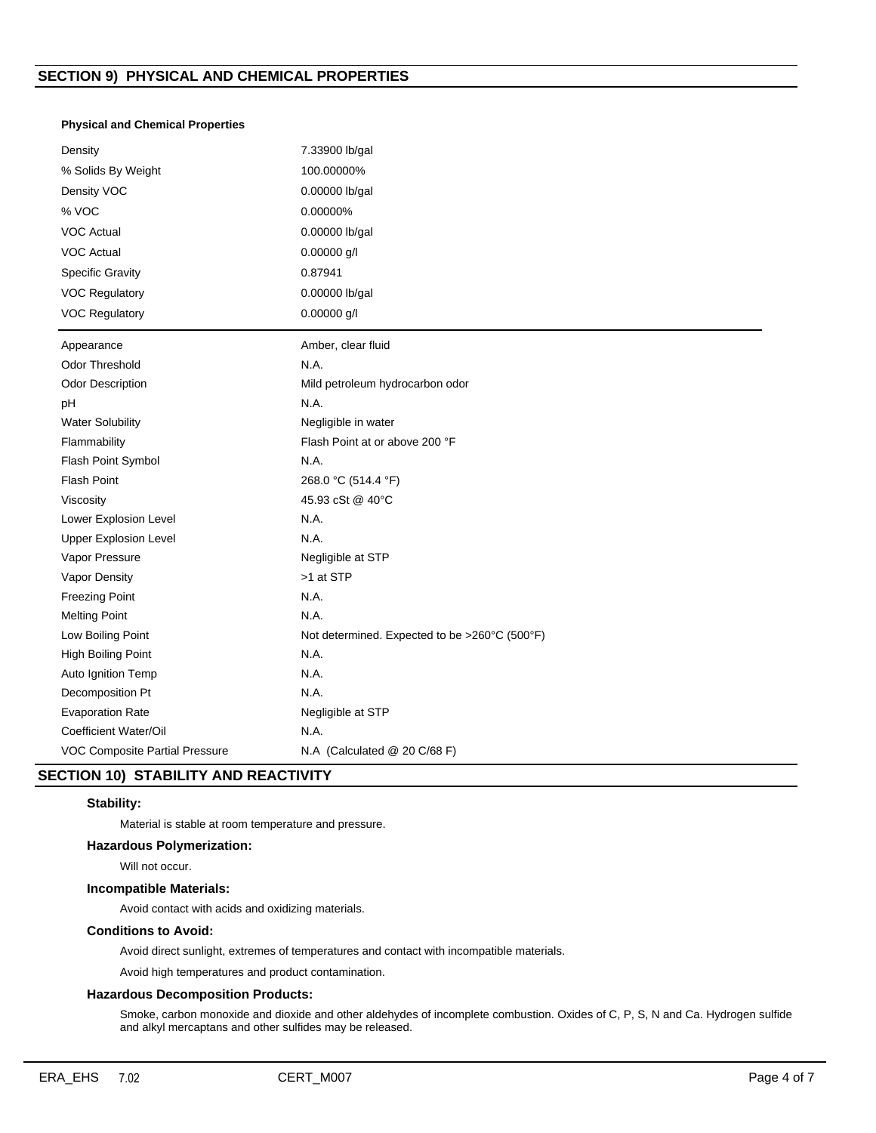## **Physical and Chemical Properties**

| Density                        | 7.33900 lb/gal                                |
|--------------------------------|-----------------------------------------------|
| % Solids By Weight             | 100.00000%                                    |
| Density VOC                    | 0.00000 lb/gal                                |
| % VOC                          | 0.00000%                                      |
| <b>VOC Actual</b>              | 0.00000 lb/gal                                |
| <b>VOC Actual</b>              | 0.00000 g/l                                   |
| <b>Specific Gravity</b>        | 0.87941                                       |
| <b>VOC Regulatory</b>          | 0.00000 lb/gal                                |
| <b>VOC Regulatory</b>          | 0.00000 g/l                                   |
| Appearance                     | Amber, clear fluid                            |
| Odor Threshold                 | N.A.                                          |
| <b>Odor Description</b>        | Mild petroleum hydrocarbon odor               |
| pH                             | N.A.                                          |
| <b>Water Solubility</b>        | Negligible in water                           |
| Flammability                   | Flash Point at or above 200 °F                |
| Flash Point Symbol             | N.A.                                          |
| <b>Flash Point</b>             | 268.0 °C (514.4 °F)                           |
| Viscosity                      | 45.93 cSt @ 40°C                              |
| Lower Explosion Level          | N.A.                                          |
| <b>Upper Explosion Level</b>   | N.A.                                          |
| Vapor Pressure                 | Negligible at STP                             |
| Vapor Density                  | >1 at STP                                     |
| <b>Freezing Point</b>          | N.A.                                          |
| <b>Melting Point</b>           | N.A.                                          |
| Low Boiling Point              | Not determined. Expected to be >260°C (500°F) |
| High Boiling Point             | N.A.                                          |
| Auto Ignition Temp             | N.A.                                          |
| Decomposition Pt               | N.A.                                          |
| <b>Evaporation Rate</b>        | Negligible at STP                             |
| Coefficient Water/Oil          | N.A.                                          |
| VOC Composite Partial Pressure | N.A (Calculated @ 20 C/68 F)                  |

# **SECTION 10) STABILITY AND REACTIVITY**

## **Stability:**

Material is stable at room temperature and pressure.

## **Hazardous Polymerization:**

Will not occur.

# **Incompatible Materials:**

Avoid contact with acids and oxidizing materials.

## **Conditions to Avoid:**

Avoid direct sunlight, extremes of temperatures and contact with incompatible materials.

Avoid high temperatures and product contamination.

## **Hazardous Decomposition Products:**

Smoke, carbon monoxide and dioxide and other aldehydes of incomplete combustion. Oxides of C, P, S, N and Ca. Hydrogen sulfide and alkyl mercaptans and other sulfides may be released.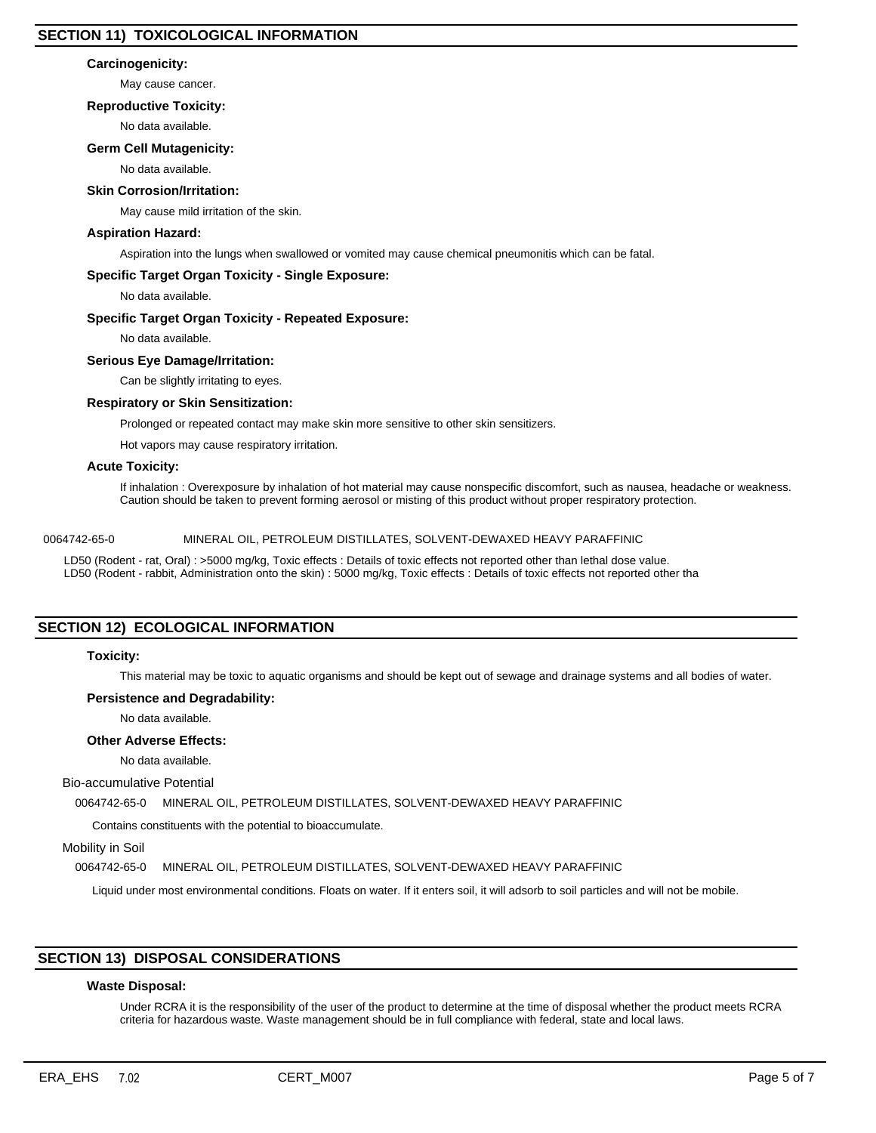## **Carcinogenicity:**

May cause cancer.

## **Reproductive Toxicity:**

No data available.

## **Germ Cell Mutagenicity:**

No data available.

## **Skin Corrosion/Irritation:**

May cause mild irritation of the skin.

## **Aspiration Hazard:**

Aspiration into the lungs when swallowed or vomited may cause chemical pneumonitis which can be fatal.

## **Specific Target Organ Toxicity - Single Exposure:**

No data available.

#### **Specific Target Organ Toxicity - Repeated Exposure:**

No data available.

#### **Serious Eye Damage/Irritation:**

Can be slightly irritating to eyes.

#### **Respiratory or Skin Sensitization:**

Prolonged or repeated contact may make skin more sensitive to other skin sensitizers.

Hot vapors may cause respiratory irritation.

## **Acute Toxicity:**

If inhalation : Overexposure by inhalation of hot material may cause nonspecific discomfort, such as nausea, headache or weakness. Caution should be taken to prevent forming aerosol or misting of this product without proper respiratory protection.

## 0064742-65-0 MINERAL OIL, PETROLEUM DISTILLATES, SOLVENT-DEWAXED HEAVY PARAFFINIC

LD50 (Rodent - rat, Oral) : >5000 mg/kg, Toxic effects : Details of toxic effects not reported other than lethal dose value. LD50 (Rodent - rabbit, Administration onto the skin) : 5000 mg/kg, Toxic effects : Details of toxic effects not reported other tha

# **SECTION 12) ECOLOGICAL INFORMATION**

## **Toxicity:**

This material may be toxic to aquatic organisms and should be kept out of sewage and drainage systems and all bodies of water.

## **Persistence and Degradability:**

No data available.

## **Other Adverse Effects:**

No data available.

#### Bio-accumulative Potential

0064742-65-0 MINERAL OIL, PETROLEUM DISTILLATES, SOLVENT-DEWAXED HEAVY PARAFFINIC

Contains constituents with the potential to bioaccumulate.

Mobility in Soil

0064742-65-0 MINERAL OIL, PETROLEUM DISTILLATES, SOLVENT-DEWAXED HEAVY PARAFFINIC

Liquid under most environmental conditions. Floats on water. If it enters soil, it will adsorb to soil particles and will not be mobile.

## **SECTION 13) DISPOSAL CONSIDERATIONS**

## **Waste Disposal:**

Under RCRA it is the responsibility of the user of the product to determine at the time of disposal whether the product meets RCRA criteria for hazardous waste. Waste management should be in full compliance with federal, state and local laws.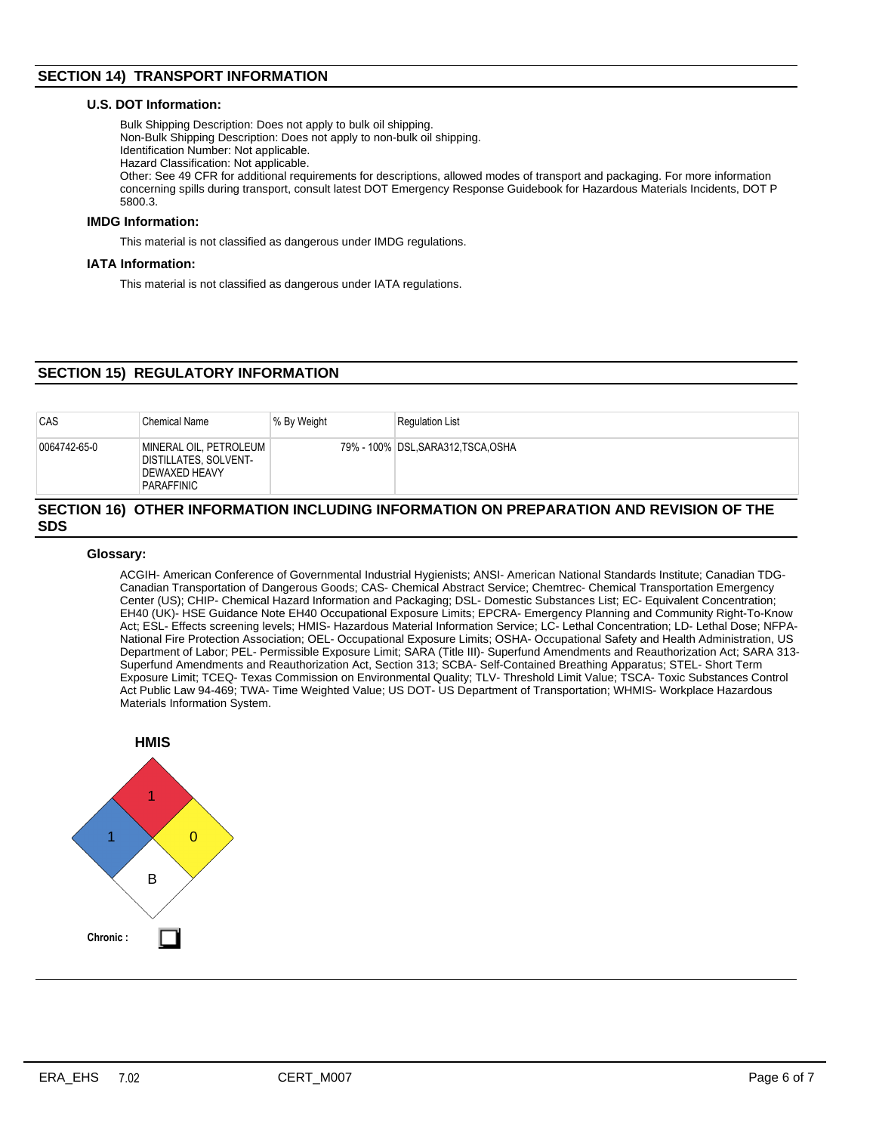# **SECTION 14) TRANSPORT INFORMATION**

## **U.S. DOT Information:**

Bulk Shipping Description: Does not apply to bulk oil shipping. Non-Bulk Shipping Description: Does not apply to non-bulk oil shipping. Identification Number: Not applicable. Hazard Classification: Not applicable. Other: See 49 CFR for additional requirements for descriptions, allowed modes of transport and packaging. For more information concerning spills during transport, consult latest DOT Emergency Response Guidebook for Hazardous Materials Incidents, DOT P 5800.3.

## **IMDG Information:**

This material is not classified as dangerous under IMDG regulations.

## **IATA Information:**

This material is not classified as dangerous under IATA regulations.

# **SECTION 15) REGULATORY INFORMATION**

| CAS          | <b>Chemical Name</b>                                                                  | % By Weight | <b>Regulation List</b>              |
|--------------|---------------------------------------------------------------------------------------|-------------|-------------------------------------|
| 0064742-65-0 | MINERAL OIL, PETROLEUM<br>DISTILLATES, SOLVENT-<br><b>DEWAXED HEAVY</b><br>PARAFFINIC |             | 79% - 100% DSL, SARA312, TSCA, OSHA |

#### **SECTION 16) OTHER INFORMATION INCLUDING INFORMATION ON PREPARATION AND REVISION OF THE SDS**

## **Glossary:**

ACGIH- American Conference of Governmental Industrial Hygienists; ANSI- American National Standards Institute; Canadian TDG-Canadian Transportation of Dangerous Goods; CAS- Chemical Abstract Service; Chemtrec- Chemical Transportation Emergency Center (US); CHIP- Chemical Hazard Information and Packaging; DSL- Domestic Substances List; EC- Equivalent Concentration; EH40 (UK)- HSE Guidance Note EH40 Occupational Exposure Limits; EPCRA- Emergency Planning and Community Right-To-Know Act; ESL- Effects screening levels; HMIS- Hazardous Material Information Service; LC- Lethal Concentration; LD- Lethal Dose; NFPA-National Fire Protection Association; OEL- Occupational Exposure Limits; OSHA- Occupational Safety and Health Administration, US Department of Labor; PEL- Permissible Exposure Limit; SARA (Title III)- Superfund Amendments and Reauthorization Act; SARA 313- Superfund Amendments and Reauthorization Act, Section 313; SCBA- Self-Contained Breathing Apparatus; STEL- Short Term Exposure Limit; TCEQ- Texas Commission on Environmental Quality; TLV- Threshold Limit Value; TSCA- Toxic Substances Control Act Public Law 94-469; TWA- Time Weighted Value; US DOT- US Department of Transportation; WHMIS- Workplace Hazardous Materials Information System.